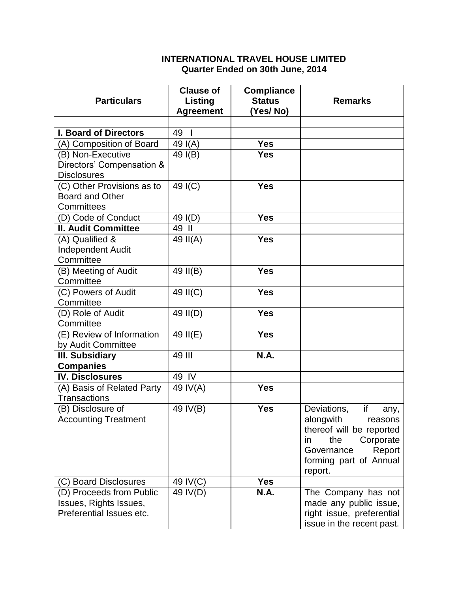## **INTERNATIONAL TRAVEL HOUSE LIMITED Quarter Ended on 30th June, 2014**

| <b>Particulars</b>                                                             | <b>Clause of</b><br>Listing<br><b>Agreement</b> | <b>Compliance</b><br><b>Status</b><br>(Yes/No) | <b>Remarks</b>                                                                                                                                                       |
|--------------------------------------------------------------------------------|-------------------------------------------------|------------------------------------------------|----------------------------------------------------------------------------------------------------------------------------------------------------------------------|
|                                                                                |                                                 |                                                |                                                                                                                                                                      |
| <b>I. Board of Directors</b>                                                   | 49                                              |                                                |                                                                                                                                                                      |
| (A) Composition of Board                                                       | 49 $I(A)$                                       | <b>Yes</b>                                     |                                                                                                                                                                      |
| (B) Non-Executive<br>Directors' Compensation &<br><b>Disclosures</b>           | 49 $I(B)$                                       | <b>Yes</b>                                     |                                                                                                                                                                      |
| (C) Other Provisions as to<br><b>Board and Other</b><br>Committees             | 49 I(C)                                         | <b>Yes</b>                                     |                                                                                                                                                                      |
| (D) Code of Conduct                                                            | 49 I(D)                                         | <b>Yes</b>                                     |                                                                                                                                                                      |
| <b>II. Audit Committee</b>                                                     | 49 II                                           |                                                |                                                                                                                                                                      |
| (A) Qualified &<br><b>Independent Audit</b><br>Committee                       | 49 $II(A)$                                      | <b>Yes</b>                                     |                                                                                                                                                                      |
| (B) Meeting of Audit<br>Committee                                              | 49 II(B)                                        | <b>Yes</b>                                     |                                                                                                                                                                      |
| (C) Powers of Audit<br>Committee                                               | 49 II(C)                                        | <b>Yes</b>                                     |                                                                                                                                                                      |
| (D) Role of Audit<br>Committee                                                 | 49 II(D)                                        | <b>Yes</b>                                     |                                                                                                                                                                      |
| (E) Review of Information<br>by Audit Committee                                | 49 II(E)                                        | <b>Yes</b>                                     |                                                                                                                                                                      |
| III. Subsidiary<br><b>Companies</b>                                            | 49 III                                          | <b>N.A.</b>                                    |                                                                                                                                                                      |
| <b>IV. Disclosures</b>                                                         | 49 IV                                           |                                                |                                                                                                                                                                      |
| (A) Basis of Related Party<br><b>Transactions</b>                              | 49 IV(A)                                        | <b>Yes</b>                                     |                                                                                                                                                                      |
| (B) Disclosure of<br><b>Accounting Treatment</b>                               | 49 IV(B)                                        | <b>Yes</b>                                     | Deviations,<br>if<br>any,<br>alongwith<br>reasons<br>thereof will be reported<br>the<br>Corporate<br>in<br>Report<br>Governance<br>forming part of Annual<br>report. |
| (C) Board Disclosures                                                          | 49 IV(C)                                        | <b>Yes</b>                                     |                                                                                                                                                                      |
| (D) Proceeds from Public<br>Issues, Rights Issues,<br>Preferential Issues etc. | 49 IV(D)                                        | <b>N.A.</b>                                    | The Company has not<br>made any public issue,<br>right issue, preferential<br>issue in the recent past.                                                              |